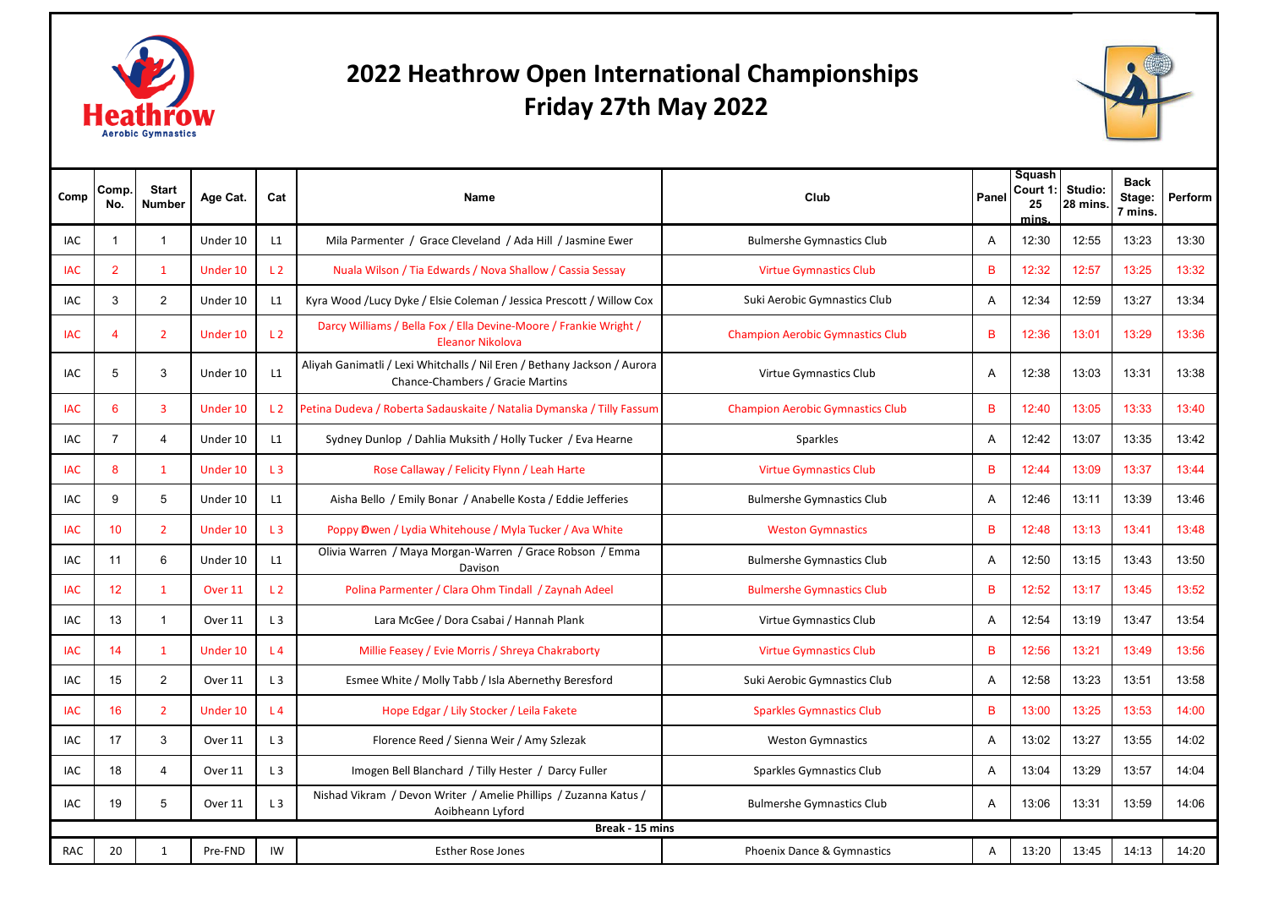

## **Friday 27th May 20222022 Heathrow Open International Championships**



| Comp       | Comp.<br>No.   | <b>Start</b><br><b>Number</b> | Age Cat. | Cat             | <b>Name</b>                                                                                                  | Club                                    | Panel          | Squash<br>Court 1:<br>25<br>mins | Studio:<br>28 mins. | <b>Back</b><br>Stage:<br>7 mins. | Perform |
|------------|----------------|-------------------------------|----------|-----------------|--------------------------------------------------------------------------------------------------------------|-----------------------------------------|----------------|----------------------------------|---------------------|----------------------------------|---------|
| <b>IAC</b> | -1             | $\overline{1}$                | Under 10 | L1              | Mila Parmenter / Grace Cleveland / Ada Hill / Jasmine Ewer                                                   | <b>Bulmershe Gymnastics Club</b>        | A              | 12:30                            | 12:55               | 13:23                            | 13:30   |
| <b>IAC</b> | $\overline{2}$ | $\mathbf{1}$                  | Under 10 | L <sub>2</sub>  | Nuala Wilson / Tia Edwards / Nova Shallow / Cassia Sessay                                                    | <b>Virtue Gymnastics Club</b>           | B              | 12:32                            | 12:57               | 13:25                            | 13:32   |
| IAC        | 3              | $\overline{2}$                | Under 10 | L1              | Kyra Wood /Lucy Dyke / Elsie Coleman / Jessica Prescott / Willow Cox                                         | Suki Aerobic Gymnastics Club            | Α              | 12:34                            | 12:59               | 13:27                            | 13:34   |
| <b>IAC</b> | 4              | $\overline{2}$                | Under 10 | L <sub>2</sub>  | Darcy Williams / Bella Fox / Ella Devine-Moore / Frankie Wright /<br>Eleanor Nikolova                        | <b>Champion Aerobic Gymnastics Club</b> | B              | 12:36                            | 13:01               | 13:29                            | 13:36   |
| <b>IAC</b> | 5              | 3                             | Under 10 | L1              | Aliyah Ganimatli / Lexi Whitchalls / Nil Eren / Bethany Jackson / Aurora<br>Chance-Chambers / Gracie Martins | Virtue Gymnastics Club                  | $\overline{A}$ | 12:38                            | 13:03               | 13:31                            | 13:38   |
| <b>IAC</b> | 6              | 3                             | Under 10 | $\overline{1}$  | Petina Dudeva / Roberta Sadauskaite / Natalia Dymanska / Tilly Fassun                                        | <b>Champion Aerobic Gymnastics Club</b> | B              | 12:40                            | 13:05               | 13:33                            | 13:40   |
| <b>IAC</b> | $\overline{7}$ | $\overline{4}$                | Under 10 | L1              | Sydney Dunlop / Dahlia Muksith / Holly Tucker / Eva Hearne                                                   | Sparkles                                | A              | 12:42                            | 13:07               | 13:35                            | 13:42   |
| <b>IAC</b> | 8              | $\mathbf{1}$                  | Under 10 | L <sub>3</sub>  | Rose Callaway / Felicity Flynn / Leah Harte                                                                  | <b>Virtue Gymnastics Club</b>           | B              | 12:44                            | 13:09               | 13:37                            | 13:44   |
| IAC        | 9              | 5                             | Under 10 | L1              | Aisha Bello / Emily Bonar / Anabelle Kosta / Eddie Jefferies                                                 | <b>Bulmershe Gymnastics Club</b>        | A              | 12:46                            | 13:11               | 13:39                            | 13:46   |
| <b>IAC</b> | 10             | $\overline{2}$                | Under 10 | L3              | Poppy Owen / Lydia Whitehouse / Myla Tucker / Ava White                                                      | <b>Weston Gymnastics</b>                | B              | 12:48                            | 13:13               | 13:41                            | 13:48   |
| <b>IAC</b> | 11             | 6                             | Under 10 | L1              | Olivia Warren / Maya Morgan-Warren / Grace Robson / Emma<br>Davison                                          | <b>Bulmershe Gymnastics Club</b>        | A              | 12:50                            | 13:15               | 13:43                            | 13:50   |
| IAC        | 12             | $\mathbf{1}$                  | Over 11  | L <sub>2</sub>  | Polina Parmenter / Clara Ohm Tindall / Zaynah Adeel                                                          | <b>Bulmershe Gymnastics Club</b>        | B              | 12:52                            | 13:17               | 13:45                            | 13:52   |
| IAC        | 13             | $\overline{1}$                | Over 11  | L3              | Lara McGee / Dora Csabai / Hannah Plank                                                                      | Virtue Gymnastics Club                  | A              | 12:54                            | 13:19               | 13:47                            | 13:54   |
| <b>IAC</b> | 14             | $\mathbf{1}$                  | Under 10 | $\overline{14}$ | Millie Feasey / Evie Morris / Shreya Chakraborty                                                             | <b>Virtue Gymnastics Club</b>           | B              | 12:56                            | 13:21               | 13:49                            | 13:56   |
| <b>IAC</b> | 15             | 2                             | Over 11  | L3              | Esmee White / Molly Tabb / Isla Abernethy Beresford                                                          | Suki Aerobic Gymnastics Club            | A              | 12:58                            | 13:23               | 13:51                            | 13:58   |
| <b>IAC</b> | 16             | $\overline{2}$                | Under 10 | L <sub>4</sub>  | Hope Edgar / Lily Stocker / Leila Fakete                                                                     | <b>Sparkles Gymnastics Club</b>         | B              | 13:00                            | 13:25               | 13:53                            | 14:00   |
| IAC        | 17             | 3                             | Over 11  | L3              | Florence Reed / Sienna Weir / Amy Szlezak                                                                    | <b>Weston Gymnastics</b>                | Α              | 13:02                            | 13:27               | 13:55                            | 14:02   |
| IAC        | 18             | 4                             | Over 11  | L3              | Imogen Bell Blanchard / Tilly Hester / Darcy Fuller                                                          | Sparkles Gymnastics Club                | A              | 13:04                            | 13:29               | 13:57                            | 14:04   |
| <b>IAC</b> | 19             | 5                             | Over 11  | L <sub>3</sub>  | Nishad Vikram / Devon Writer / Amelie Phillips / Zuzanna Katus /<br>Aoibheann Lyford                         | <b>Bulmershe Gymnastics Club</b>        | A              | 13:06                            | 13:31               | 13:59                            | 14:06   |
|            |                |                               |          |                 | Break - 15 mins                                                                                              |                                         |                |                                  |                     |                                  |         |
| <b>RAC</b> | 20             | 1                             | Pre-FND  | IW              | <b>Esther Rose Jones</b>                                                                                     | Phoenix Dance & Gymnastics              | $\mathsf{A}$   | 13:20                            | 13:45               | 14:13                            | 14:20   |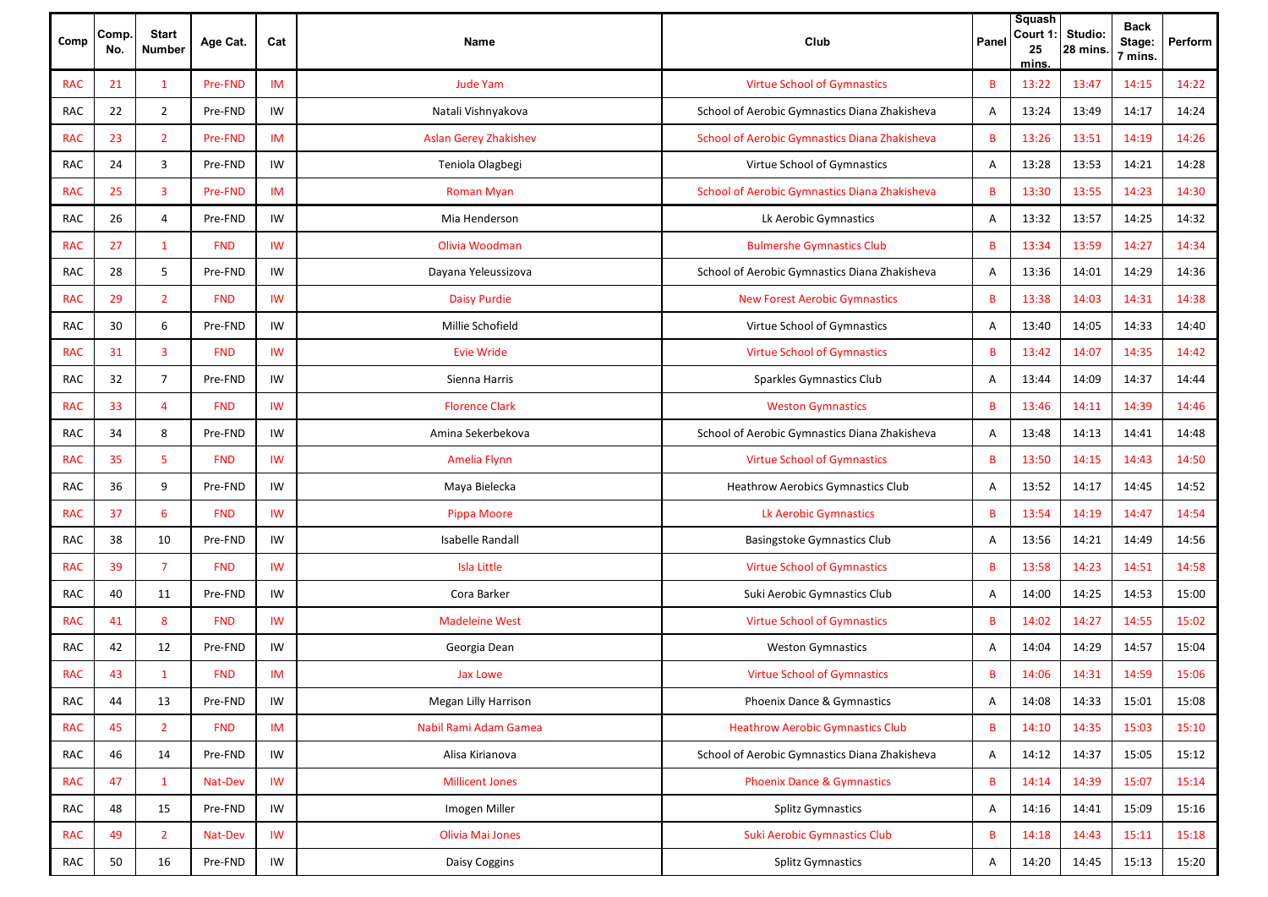| Comp       | Comp.<br>No. | <b>Start</b><br><b>Number</b> | Age Cat.   | Cat       | Name                         | Club                                          | Panel | Squash<br>Court 1<br>25<br>mins. | Studio:<br>28 mins. | <b>Back</b><br>Stage:<br>7 mins. | Perform |
|------------|--------------|-------------------------------|------------|-----------|------------------------------|-----------------------------------------------|-------|----------------------------------|---------------------|----------------------------------|---------|
| <b>RAC</b> | 21           | 1                             | Pre-FND    | IM        | <b>Jude Yam</b>              | <b>Virtue School of Gymnastics</b>            | В     | 13:22                            | 13:47               | 14:15                            | 14:22   |
| RAC        | 22           | $\overline{2}$                | Pre-FND    | IW        | Natali Vishnyakova           | School of Aerobic Gymnastics Diana Zhakisheva | Α     | 13:24                            | 13:49               | 14:17                            | 14:24   |
| <b>RAC</b> | 23           | $\overline{2}$                | Pre-FND    | IM        | <b>Aslan Gerey Zhakishev</b> | School of Aerobic Gymnastics Diana Zhakisheva | B     | 13:26                            | 13:51               | 14:19                            | 14:26   |
| RAC        | 24           | 3                             | Pre-FND    | IW        | Teniola Olagbegi             | Virtue School of Gymnastics                   | Α     | 13:28                            | 13:53               | 14:21                            | 14:28   |
| <b>RAC</b> | 25           | $\overline{3}$                | Pre-FND    | IM        | <b>Roman Myan</b>            | School of Aerobic Gymnastics Diana Zhakisheva | B     | 13:30                            | 13:55               | 14:23                            | 14:30   |
| RAC        | 26           | $\overline{4}$                | Pre-FND    | IW        | Mia Henderson                | Lk Aerobic Gymnastics                         | Α     | 13:32                            | 13:57               | 14:25                            | 14:32   |
| <b>RAC</b> | 27           | $\mathbf{1}$                  | <b>FND</b> | <b>IW</b> | Olivia Woodman               | <b>Bulmershe Gymnastics Club</b>              | B     | 13:34                            | 13:59               | 14:27                            | 14:34   |
| <b>RAC</b> | 28           | 5                             | Pre-FND    | IW        | Dayana Yeleussizova          | School of Aerobic Gymnastics Diana Zhakisheva | Α     | 13:36                            | 14:01               | 14:29                            | 14:36   |
| <b>RAC</b> | 29           | $\overline{2}$                | <b>FND</b> | <b>IW</b> | <b>Daisy Purdie</b>          | <b>New Forest Aerobic Gymnastics</b>          | B     | 13:38                            | 14:03               | 14:31                            | 14:38   |
| <b>RAC</b> | 30           | 6                             | Pre-FND    | IW        | Millie Schofield             | Virtue School of Gymnastics                   | Α     | 13:40                            | 14:05               | 14:33                            | 14:40   |
| <b>RAC</b> | 31           | $\overline{3}$                | <b>FND</b> | IW        | <b>Evie Wride</b>            | <b>Virtue School of Gymnastics</b>            | B     | 13:42                            | 14:07               | 14:35                            | 14:42   |
| <b>RAC</b> | 32           | $\overline{7}$                | Pre-FND    | IW        | Sienna Harris                | Sparkles Gymnastics Club                      | Α     | 13:44                            | 14:09               | 14:37                            | 14:44   |
| <b>RAC</b> | 33           | $\overline{a}$                | <b>FND</b> | <b>IW</b> | <b>Florence Clark</b>        | <b>Weston Gymnastics</b>                      | B     | 13:46                            | 14:11               | 14:39                            | 14:46   |
| RAC        | 34           | 8                             | Pre-FND    | IW        | Amina Sekerbekova            | School of Aerobic Gymnastics Diana Zhakisheva | Α     | 13:48                            | 14:13               | 14:41                            | 14:48   |
| <b>RAC</b> | 35           | 5                             | <b>FND</b> | <b>IW</b> | Amelia Flynn                 | <b>Virtue School of Gymnastics</b>            | B     | 13:50                            | 14:15               | 14:43                            | 14:50   |
| RAC        | 36           | 9                             | Pre-FND    | IW        | Maya Bielecka                | <b>Heathrow Aerobics Gymnastics Club</b>      | Α     | 13:52                            | 14:17               | 14:45                            | 14:52   |
| <b>RAC</b> | 37           | 6                             | <b>FND</b> | IW        | Pippa Moore                  | Lk Aerobic Gymnastics                         | B     | 13:54                            | 14:19               | 14:47                            | 14:54   |
| RAC        | 38           | 10                            | Pre-FND    | IW        | Isabelle Randall             | Basingstoke Gymnastics Club                   | Α     | 13:56                            | 14:21               | 14:49                            | 14:56   |
| <b>RAC</b> | 39           | $\overline{7}$                | <b>FND</b> | IW        | <b>Isla Little</b>           | <b>Virtue School of Gymnastics</b>            | B     | 13:58                            | 14:23               | 14:51                            | 14:58   |
| <b>RAC</b> | 40           | 11                            | Pre-FND    | IW        | Cora Barker                  | Suki Aerobic Gymnastics Club                  | Α     | 14:00                            | 14:25               | 14:53                            | 15:00   |
| <b>RAC</b> | 41           | 8                             | <b>FND</b> | IW        | <b>Madeleine West</b>        | <b>Virtue School of Gymnastics</b>            | B     | 14:02                            | 14:27               | 14:55                            | 15:02   |
| RAC        | 42           | 12                            | Pre-FND    | IW        | Georgia Dean                 | <b>Weston Gymnastics</b>                      | Α     | 14:04                            | 14:29               | 14:57                            | 15:04   |
| <b>RAC</b> | 43           | $\mathbf{1}$                  | <b>FND</b> | IM        | Jax Lowe                     | <b>Virtue School of Gymnastics</b>            | B     | 14:06                            | 14:31               | 14:59                            | 15:06   |
| <b>RAC</b> | 44           | 13                            | Pre-FND    | IW        | Megan Lilly Harrison         | Phoenix Dance & Gymnastics                    | Α     | 14:08                            | 14:33               | 15:01                            | 15:08   |
| <b>RAC</b> | 45           | $\overline{2}$                | <b>FND</b> | IM        | Nabil Rami Adam Gamea        | <b>Heathrow Aerobic Gymnastics Club</b>       | B     | 14:10                            | 14:35               | 15:03                            | 15:10   |
| RAC        | 46           | 14                            | Pre-FND    | IW        | Alisa Kirianova              | School of Aerobic Gymnastics Diana Zhakisheva | Α     | 14:12                            | 14:37               | 15:05                            | 15:12   |
| <b>RAC</b> | 47           | $\mathbf{1}$                  | Nat-Dev    | <b>IW</b> | <b>Millicent Jones</b>       | <b>Phoenix Dance &amp; Gymnastics</b>         | B     | 14:14                            | 14:39               | 15:07                            | 15:14   |
| RAC        | 48           | 15                            | Pre-FND    | IW        | Imogen Miller                | <b>Splitz Gymnastics</b>                      | Α     | 14:16                            | 14:41               | 15:09                            | 15:16   |
| <b>RAC</b> | 49           | $\overline{2}$                | Nat-Dev    | <b>IW</b> | Olivia Mai Jones             | <b>Suki Aerobic Gymnastics Club</b>           | B     | 14:18                            | 14:43               | 15:11                            | 15:18   |
| RAC        | 50           | 16                            | Pre-FND    | IW        | Daisy Coggins                | Splitz Gymnastics                             | A     | 14:20                            | 14:45               | 15:13                            | 15:20   |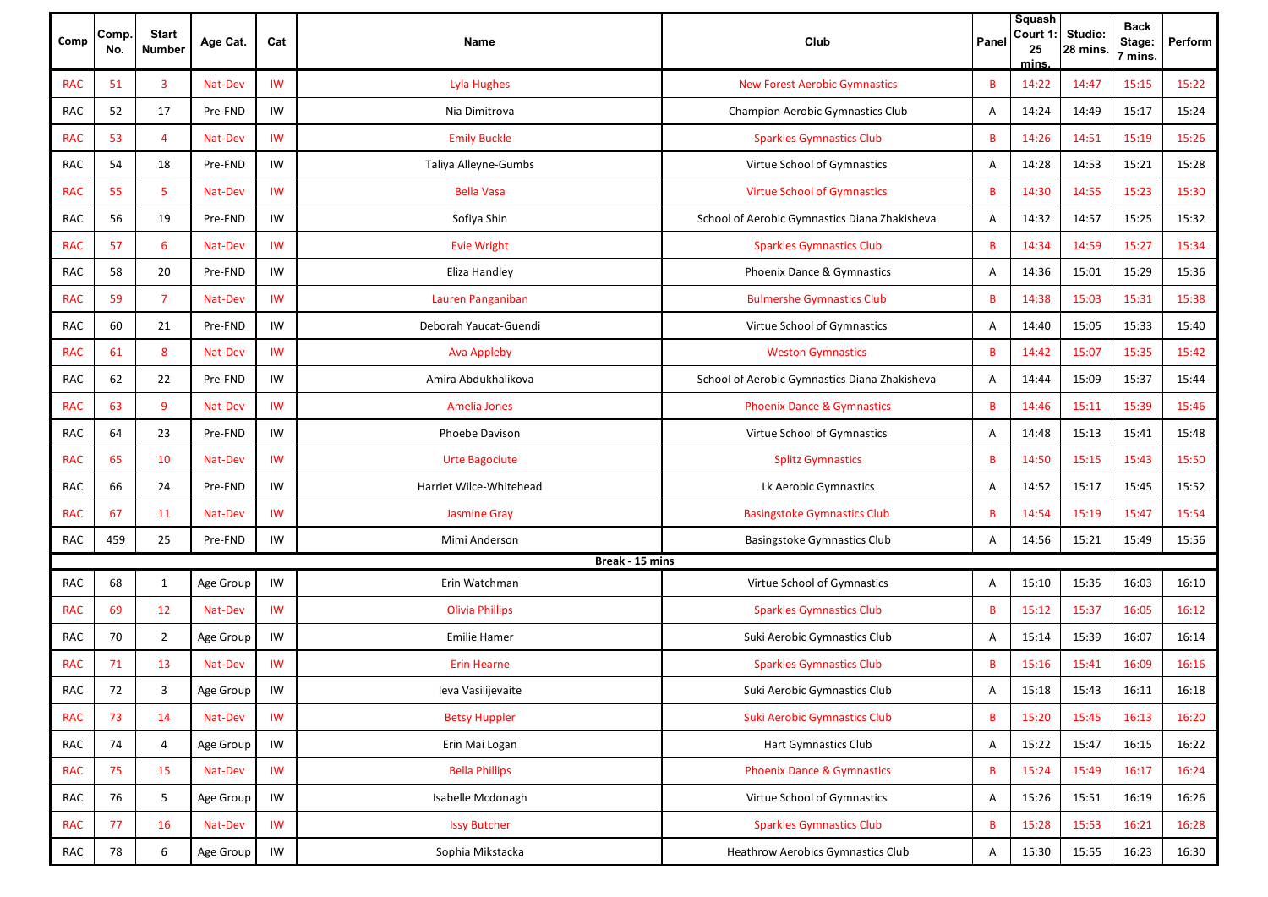| Comp       | Comp.<br>No. | <b>Start</b><br><b>Number</b> | Age Cat.  | Cat             | Name                    | Club                                          | Panel        | Squash<br>Court 1<br>25<br>mins. | Studio:<br>28 mins. | <b>Back</b><br>Stage:<br>7 mins. | Perform |
|------------|--------------|-------------------------------|-----------|-----------------|-------------------------|-----------------------------------------------|--------------|----------------------------------|---------------------|----------------------------------|---------|
| <b>RAC</b> | 51           | 3                             | Nat-Dev   | IW              | Lyla Hughes             | <b>New Forest Aerobic Gymnastics</b>          | B            | 14:22                            | 14:47               | 15:15                            | 15:22   |
| RAC        | 52           | 17                            | Pre-FND   | IW              | Nia Dimitrova           | Champion Aerobic Gymnastics Club              | Α            | 14:24                            | 14:49               | 15:17                            | 15:24   |
| <b>RAC</b> | 53           | $\overline{4}$                | Nat-Dev   | IW              | <b>Emily Buckle</b>     | <b>Sparkles Gymnastics Club</b>               | B            | 14:26                            | 14:51               | 15:19                            | 15:26   |
| RAC        | 54           | 18                            | Pre-FND   | IW              | Taliya Alleyne-Gumbs    | Virtue School of Gymnastics                   | Α            | 14:28                            | 14:53               | 15:21                            | 15:28   |
| <b>RAC</b> | 55           | 5                             | Nat-Dev   | IW              | <b>Bella Vasa</b>       | <b>Virtue School of Gymnastics</b>            | B            | 14:30                            | 14:55               | 15:23                            | 15:30   |
| RAC        | 56           | 19                            | Pre-FND   | IW              | Sofiya Shin             | School of Aerobic Gymnastics Diana Zhakisheva | Α            | 14:32                            | 14:57               | 15:25                            | 15:32   |
| <b>RAC</b> | 57           | 6                             | Nat-Dev   | IW              | <b>Evie Wright</b>      | <b>Sparkles Gymnastics Club</b>               | B            | 14:34                            | 14:59               | 15:27                            | 15:34   |
| RAC        | 58           | 20                            | Pre-FND   | IW              | Eliza Handley           | Phoenix Dance & Gymnastics                    | Α            | 14:36                            | 15:01               | 15:29                            | 15:36   |
| <b>RAC</b> | 59           | $\overline{7}$                | Nat-Dev   | IW              | Lauren Panganiban       | <b>Bulmershe Gymnastics Club</b>              | B            | 14:38                            | 15:03               | 15:31                            | 15:38   |
| RAC        | 60           | 21                            | Pre-FND   | IW              | Deborah Yaucat-Guendi   | Virtue School of Gymnastics                   | Α            | 14:40                            | 15:05               | 15:33                            | 15:40   |
| <b>RAC</b> | 61           | 8                             | Nat-Dev   | IW              | <b>Ava Appleby</b>      | <b>Weston Gymnastics</b>                      | B            | 14:42                            | 15:07               | 15:35                            | 15:42   |
| RAC        | 62           | 22                            | Pre-FND   | IW              | Amira Abdukhalikova     | School of Aerobic Gymnastics Diana Zhakisheva | Α            | 14:44                            | 15:09               | 15:37                            | 15:44   |
| <b>RAC</b> | 63           | 9                             | Nat-Dev   | IW              | Amelia Jones            | <b>Phoenix Dance &amp; Gymnastics</b>         | B            | 14:46                            | 15:11               | 15:39                            | 15:46   |
| RAC        | 64           | 23                            | Pre-FND   | IW              | Phoebe Davison          | Virtue School of Gymnastics                   | Α            | 14:48                            | 15:13               | 15:41                            | 15:48   |
| <b>RAC</b> | 65           | 10                            | Nat-Dev   | IW              | <b>Urte Bagociute</b>   | <b>Splitz Gymnastics</b>                      | B            | 14:50                            | 15:15               | 15:43                            | 15:50   |
| RAC        | 66           | 24                            | Pre-FND   | IW              | Harriet Wilce-Whitehead | Lk Aerobic Gymnastics                         | Α            | 14:52                            | 15:17               | 15:45                            | 15:52   |
| <b>RAC</b> | 67           | 11                            | Nat-Dev   | IW              | <b>Jasmine Gray</b>     | <b>Basingstoke Gymnastics Club</b>            | B            | 14:54                            | 15:19               | 15:47                            | 15:54   |
| RAC        | 459          | 25                            | Pre-FND   | IW              | Mimi Anderson           | Basingstoke Gymnastics Club                   | Α            | 14:56                            | 15:21               | 15:49                            | 15:56   |
|            |              |                               |           |                 | Break - 15 mins         |                                               |              |                                  |                     |                                  |         |
| <b>RAC</b> | 68           | 1                             | Age Group | IW              | Erin Watchman           | Virtue School of Gymnastics                   | Α            | 15:10                            | 15:35               | 16:03                            | 16:10   |
| <b>RAC</b> | 69           | 12                            | Nat-Dev   | IW              | <b>Olivia Phillips</b>  | <b>Sparkles Gymnastics Club</b>               | B            | 15:12                            | 15:37               | 16:05                            | 16:12   |
| RAC        | 70           | 2                             | Age Group | IW              | Emilie Hamer            | Suki Aerobic Gymnastics Club                  | Α            | 15:14                            | 15:39               | 16:07                            | 16:14   |
| <b>RAC</b> | 71           | 13                            | Nat-Dev   | IW              | <b>Erin Hearne</b>      | <b>Sparkles Gymnastics Club</b>               | B            | 15:16                            | 15:41               | 16:09                            | 16:16   |
| RAC        | 72           | 3                             | Age Group | IW              | Ieva Vasilijevaite      | Suki Aerobic Gymnastics Club                  | A            | 15:18                            | 15:43               | 16:11                            | 16:18   |
| <b>RAC</b> | 73           | 14                            | Nat-Dev   | IW              | <b>Betsy Huppler</b>    | <b>Suki Aerobic Gymnastics Club</b>           | $\, {\bf B}$ | 15:20                            | 15:45               | 16:13                            | 16:20   |
| RAC        | 74           | $\overline{4}$                | Age Group | IW              | Erin Mai Logan          | Hart Gymnastics Club                          | A            | 15:22                            | 15:47               | 16:15                            | 16:22   |
| <b>RAC</b> | 75           | 15                            | Nat-Dev   | IW              | <b>Bella Phillips</b>   | <b>Phoenix Dance &amp; Gymnastics</b>         | B            | 15:24                            | 15:49               | 16:17                            | 16:24   |
| RAC        | 76           | 5                             | Age Group | IW              | Isabelle Mcdonagh       | Virtue School of Gymnastics                   | Α            | 15:26                            | 15:51               | 16:19                            | 16:26   |
| <b>RAC</b> | 77           | 16                            | Nat-Dev   | IW              | <b>Issy Butcher</b>     | <b>Sparkles Gymnastics Club</b>               | B            | 15:28                            | 15:53               | 16:21                            | 16:28   |
| RAC        | 78           | 6                             | Age Group | $\textsf{IW}{}$ | Sophia Mikstacka        | Heathrow Aerobics Gymnastics Club             | Α            | 15:30                            | 15:55               | 16:23                            | 16:30   |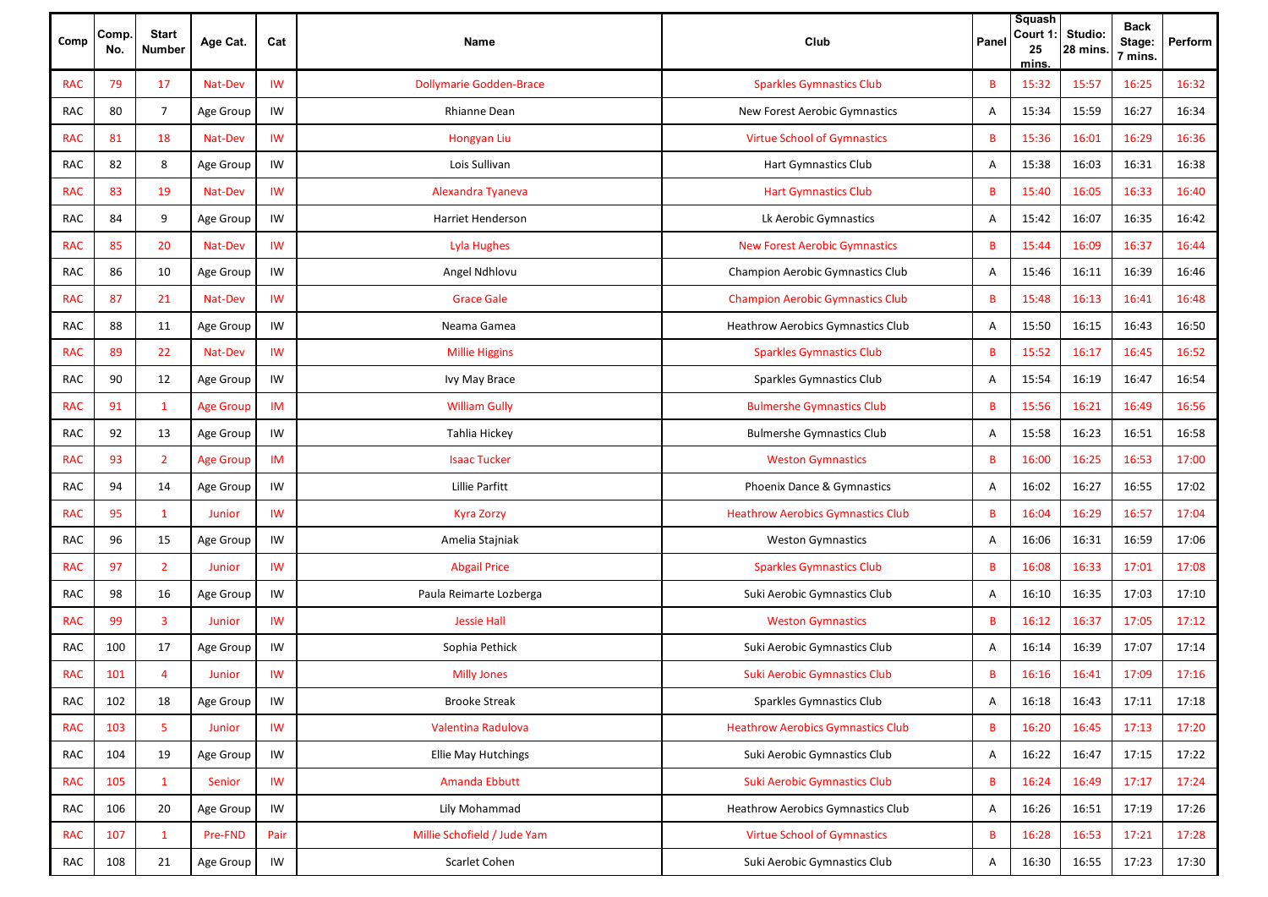| Comp       | Comp.<br>No. | <b>Start</b><br><b>Number</b> | Age Cat.         | Cat       | Name                           | Club                                     | Panel | <b>Squash</b><br>Court 1<br>25<br>mins. | Studio:<br>28 mins. | <b>Back</b><br>Stage:<br>7 mins. | Perform |
|------------|--------------|-------------------------------|------------------|-----------|--------------------------------|------------------------------------------|-------|-----------------------------------------|---------------------|----------------------------------|---------|
| <b>RAC</b> | 79           | 17                            | Nat-Dev          | IW        | <b>Dollymarie Godden-Brace</b> | <b>Sparkles Gymnastics Club</b>          | B     | 15:32                                   | 15:57               | 16:25                            | 16:32   |
| RAC        | 80           | $\overline{7}$                | Age Group        | IW        | <b>Rhianne Dean</b>            | New Forest Aerobic Gymnastics            | Α     | 15:34                                   | 15:59               | 16:27                            | 16:34   |
| <b>RAC</b> | 81           | 18                            | Nat-Dev          | IW        | Hongyan Liu                    | <b>Virtue School of Gymnastics</b>       | B     | 15:36                                   | 16:01               | 16:29                            | 16:36   |
| RAC        | 82           | 8                             | Age Group        | IW        | Lois Sullivan                  | <b>Hart Gymnastics Club</b>              | Α     | 15:38                                   | 16:03               | 16:31                            | 16:38   |
| <b>RAC</b> | 83           | 19                            | Nat-Dev          | IW        | Alexandra Tyaneva              | <b>Hart Gymnastics Club</b>              | B     | 15:40                                   | 16:05               | 16:33                            | 16:40   |
| <b>RAC</b> | 84           | 9                             | Age Group        | IW        | <b>Harriet Henderson</b>       | Lk Aerobic Gymnastics                    | Α     | 15:42                                   | 16:07               | 16:35                            | 16:42   |
| <b>RAC</b> | 85           | 20                            | Nat-Dev          | IW        | Lyla Hughes                    | <b>New Forest Aerobic Gymnastics</b>     | B     | 15:44                                   | 16:09               | 16:37                            | 16:44   |
| <b>RAC</b> | 86           | 10                            | Age Group        | IW        | Angel Ndhlovu                  | <b>Champion Aerobic Gymnastics Club</b>  | Α     | 15:46                                   | 16:11               | 16:39                            | 16:46   |
| <b>RAC</b> | 87           | 21                            | Nat-Dev          | IW        | <b>Grace Gale</b>              | <b>Champion Aerobic Gymnastics Club</b>  | B     | 15:48                                   | 16:13               | 16:41                            | 16:48   |
| <b>RAC</b> | 88           | 11                            | Age Group        | IW        | Neama Gamea                    | <b>Heathrow Aerobics Gymnastics Club</b> | Α     | 15:50                                   | 16:15               | 16:43                            | 16:50   |
| <b>RAC</b> | 89           | 22                            | Nat-Dev          | IW        | <b>Millie Higgins</b>          | <b>Sparkles Gymnastics Club</b>          | B     | 15:52                                   | 16:17               | 16:45                            | 16:52   |
| <b>RAC</b> | 90           | 12                            | Age Group        | IW        | Ivy May Brace                  | Sparkles Gymnastics Club                 | Α     | 15:54                                   | 16:19               | 16:47                            | 16:54   |
| <b>RAC</b> | 91           | $\mathbf{1}$                  | <b>Age Group</b> | IM        | <b>William Gully</b>           | <b>Bulmershe Gymnastics Club</b>         | B     | 15:56                                   | 16:21               | 16:49                            | 16:56   |
| RAC        | 92           | 13                            | Age Group        | IW        | Tahlia Hickey                  | <b>Bulmershe Gymnastics Club</b>         | Α     | 15:58                                   | 16:23               | 16:51                            | 16:58   |
| <b>RAC</b> | 93           | $\overline{2}$                | <b>Age Group</b> | IM        | <b>Isaac Tucker</b>            | <b>Weston Gymnastics</b>                 | B     | 16:00                                   | 16:25               | 16:53                            | 17:00   |
| <b>RAC</b> | 94           | 14                            | Age Group        | IW        | Lillie Parfitt                 | Phoenix Dance & Gymnastics               | Α     | 16:02                                   | 16:27               | 16:55                            | 17:02   |
| <b>RAC</b> | 95           | -1                            | Junior           | IW        | Kyra Zorzy                     | <b>Heathrow Aerobics Gymnastics Club</b> | B     | 16:04                                   | 16:29               | 16:57                            | 17:04   |
| <b>RAC</b> | 96           | 15                            | Age Group        | IW        | Amelia Stajniak                | <b>Weston Gymnastics</b>                 | Α     | 16:06                                   | 16:31               | 16:59                            | 17:06   |
| <b>RAC</b> | 97           | $\overline{2}$                | <b>Junior</b>    | IW        | <b>Abgail Price</b>            | <b>Sparkles Gymnastics Club</b>          | B     | 16:08                                   | 16:33               | 17:01                            | 17:08   |
| <b>RAC</b> | 98           | 16                            | Age Group        | IW        | Paula Reimarte Lozberga        | Suki Aerobic Gymnastics Club             | Α     | 16:10                                   | 16:35               | 17:03                            | 17:10   |
| <b>RAC</b> | 99           | 3                             | <b>Junior</b>    | <b>IW</b> | <b>Jessie Hall</b>             | <b>Weston Gymnastics</b>                 | B     | 16:12                                   | 16:37               | 17:05                            | 17:12   |
| <b>RAC</b> | 100          | 17                            | Age Group        | IW        | Sophia Pethick                 | Suki Aerobic Gymnastics Club             | Α     | 16:14                                   | 16:39               | 17:07                            | 17:14   |
| <b>RAC</b> | 101          | Δ                             | Junior           | IW        | <b>Milly Jones</b>             | <b>Suki Aerobic Gymnastics Club</b>      | B     | 16:16                                   | 16:41               | 17:09                            | 17:16   |
| RAC        | 102          | 18                            | Age Group        | IW        | <b>Brooke Streak</b>           | Sparkles Gymnastics Club                 | Α     | 16:18                                   | 16:43               | 17:11                            | 17:18   |
| <b>RAC</b> | 103          | 5                             | Junior           | <b>IW</b> | Valentina Radulova             | <b>Heathrow Aerobics Gymnastics Club</b> | B     | 16:20                                   | 16:45               | 17:13                            | 17:20   |
| RAC        | 104          | 19                            | Age Group        | IW        | <b>Ellie May Hutchings</b>     | Suki Aerobic Gymnastics Club             | Α     | 16:22                                   | 16:47               | 17:15                            | 17:22   |
| <b>RAC</b> | 105          | $\mathbf{1}$                  | Senior           | IW        | Amanda Ebbutt                  | <b>Suki Aerobic Gymnastics Club</b>      | B     | 16:24                                   | 16:49               | 17:17                            | 17:24   |
| RAC        | 106          | 20                            | Age Group        | IW        | Lily Mohammad                  | <b>Heathrow Aerobics Gymnastics Club</b> | Α     | 16:26                                   | 16:51               | 17:19                            | 17:26   |
| <b>RAC</b> | 107          | $\mathbf{1}$                  | Pre-FND          | Pair      | Millie Schofield / Jude Yam    | <b>Virtue School of Gymnastics</b>       | B     | 16:28                                   | 16:53               | 17:21                            | 17:28   |
| RAC        | 108          | 21                            | Age Group        | IW        | Scarlet Cohen                  | Suki Aerobic Gymnastics Club             | Α     | 16:30                                   | 16:55               | 17:23                            | 17:30   |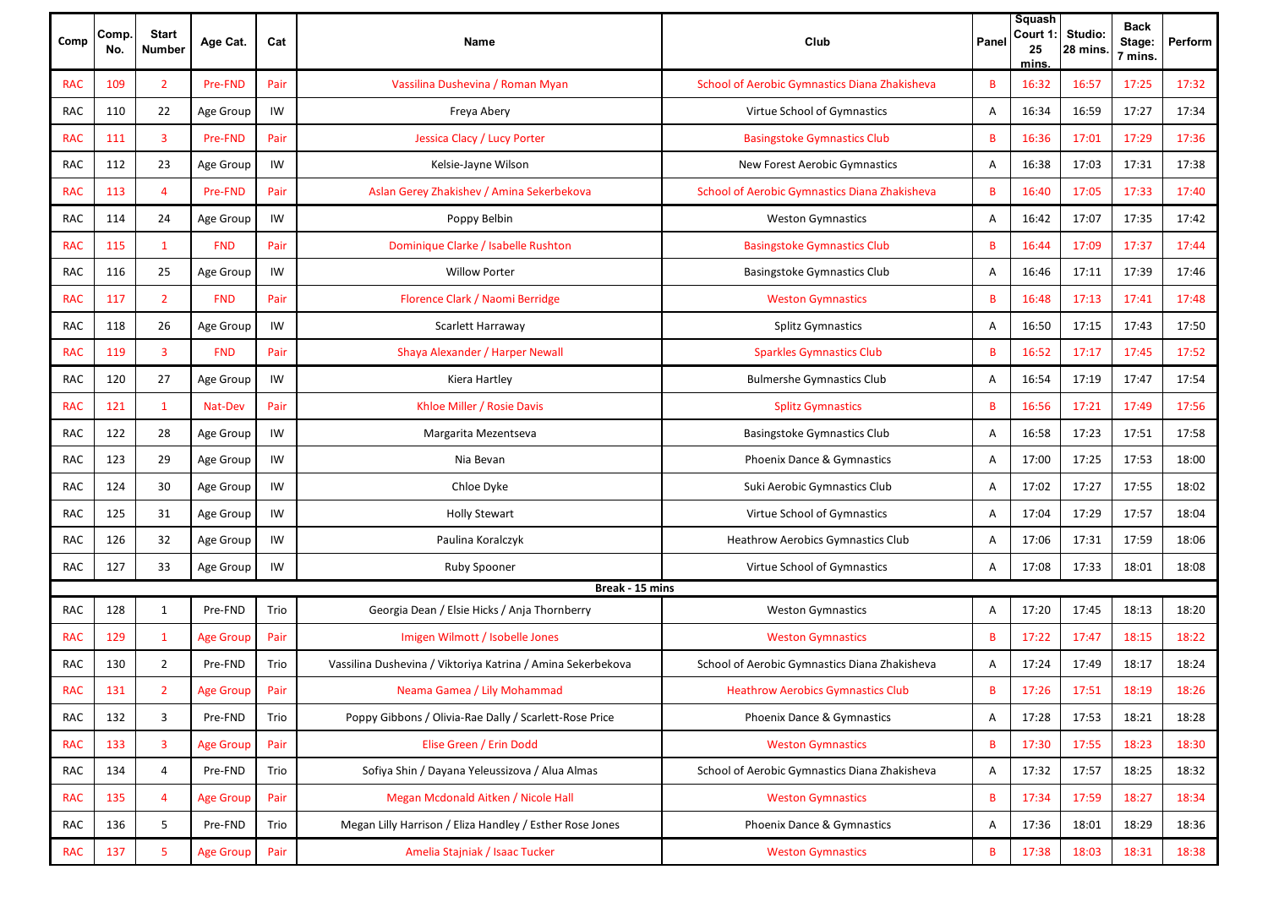| Comp       | Comp.<br>No. | <b>Start</b><br><b>Number</b> | Age Cat.         | Cat  | Name                                                        | Club                                          | Panel        | Squash<br>Court 1<br>25<br>mins | Studio:<br>28 mins. | <b>Back</b><br>Stage:<br>7 mins. | Perform |
|------------|--------------|-------------------------------|------------------|------|-------------------------------------------------------------|-----------------------------------------------|--------------|---------------------------------|---------------------|----------------------------------|---------|
| <b>RAC</b> | 109          | $\overline{2}$                | Pre-FND          | Pair | Vassilina Dushevina / Roman Myan                            | School of Aerobic Gymnastics Diana Zhakisheva | В            | 16:32                           | 16:57               | 17:25                            | 17:32   |
| RAC        | 110          | 22                            | Age Group        | IW   | Freya Abery                                                 | Virtue School of Gymnastics                   | Α            | 16:34                           | 16:59               | 17:27                            | 17:34   |
| <b>RAC</b> | 111          | 3                             | Pre-FND          | Pair | Jessica Clacy / Lucy Porter                                 | <b>Basingstoke Gymnastics Club</b>            | B            | 16:36                           | 17:01               | 17:29                            | 17:36   |
| RAC        | 112          | 23                            | Age Group        | IW   | Kelsie-Jayne Wilson                                         | New Forest Aerobic Gymnastics                 | Α            | 16:38                           | 17:03               | 17:31                            | 17:38   |
| <b>RAC</b> | 113          | 4                             | Pre-FND          | Pair | Aslan Gerey Zhakishev / Amina Sekerbekova                   | School of Aerobic Gymnastics Diana Zhakisheva | В            | 16:40                           | 17:05               | 17:33                            | 17:40   |
| RAC        | 114          | 24                            | Age Group        | IW   | Poppy Belbin                                                | <b>Weston Gymnastics</b>                      | Α            | 16:42                           | 17:07               | 17:35                            | 17:42   |
| <b>RAC</b> | 115          | $\mathbf{1}$                  | <b>FND</b>       | Pair | Dominique Clarke / Isabelle Rushton                         | <b>Basingstoke Gymnastics Club</b>            | B            | 16:44                           | 17:09               | 17:37                            | 17:44   |
| <b>RAC</b> | 116          | 25                            | Age Group        | IW   | <b>Willow Porter</b>                                        | Basingstoke Gymnastics Club                   | Α            | 16:46                           | 17:11               | 17:39                            | 17:46   |
| <b>RAC</b> | 117          | $\overline{2}$                | <b>FND</b>       | Pair | Florence Clark / Naomi Berridge                             | <b>Weston Gymnastics</b>                      | B            | 16:48                           | 17:13               | 17:41                            | 17:48   |
| <b>RAC</b> | 118          | 26                            | Age Group        | IW   | Scarlett Harraway                                           | <b>Splitz Gymnastics</b>                      | Α            | 16:50                           | 17:15               | 17:43                            | 17:50   |
| <b>RAC</b> | 119          | $\overline{3}$                | <b>FND</b>       | Pair | Shaya Alexander / Harper Newall                             | <b>Sparkles Gymnastics Club</b>               | B            | 16:52                           | 17:17               | 17:45                            | 17:52   |
| RAC        | 120          | 27                            | Age Group        | IW   | Kiera Hartley                                               | <b>Bulmershe Gymnastics Club</b>              | Α            | 16:54                           | 17:19               | 17:47                            | 17:54   |
| <b>RAC</b> | 121          | $\mathbf{1}$                  | Nat-Dev          | Pair | Khloe Miller / Rosie Davis                                  | <b>Splitz Gymnastics</b>                      | B            | 16:56                           | 17:21               | 17:49                            | 17:56   |
| RAC        | 122          | 28                            | Age Group        | IW   | Margarita Mezentseva                                        | Basingstoke Gymnastics Club                   | Α            | 16:58                           | 17:23               | 17:51                            | 17:58   |
| <b>RAC</b> | 123          | 29                            | Age Group        | IW   | Nia Bevan                                                   | Phoenix Dance & Gymnastics                    | Α            | 17:00                           | 17:25               | 17:53                            | 18:00   |
| <b>RAC</b> | 124          | 30                            | Age Group        | IW   | Chloe Dyke                                                  | Suki Aerobic Gymnastics Club                  | Α            | 17:02                           | 17:27               | 17:55                            | 18:02   |
| <b>RAC</b> | 125          | 31                            | Age Group        | IW   | <b>Holly Stewart</b>                                        | Virtue School of Gymnastics                   | Α            | 17:04                           | 17:29               | 17:57                            | 18:04   |
| RAC        | 126          | 32                            | Age Group        | IW   | Paulina Koralczyk                                           | <b>Heathrow Aerobics Gymnastics Club</b>      | Α            | 17:06                           | 17:31               | 17:59                            | 18:06   |
| <b>RAC</b> | 127          | 33                            | Age Group        | IW   | Ruby Spooner                                                | Virtue School of Gymnastics                   | Α            | 17:08                           | 17:33               | 18:01                            | 18:08   |
|            |              |                               |                  |      | Break - 15 mins                                             |                                               |              |                                 |                     |                                  |         |
| <b>RAC</b> | 128          | $\mathbf{1}$                  | Pre-FND          | Trio | Georgia Dean / Elsie Hicks / Anja Thornberry                | <b>Weston Gymnastics</b>                      | Α            | 17:20                           | 17:45               | 18:13                            | 18:20   |
| <b>RAC</b> | 129          | 1                             | <b>Age Group</b> | Pair | Imigen Wilmott / Isobelle Jones                             | <b>Weston Gymnastics</b>                      | B            | 17:22                           | 17:47               | 18:15                            | 18:22   |
| RAC        | 130          | 2                             | Pre-FND          | Trio | Vassilina Dushevina / Viktoriya Katrina / Amina Sekerbekova | School of Aerobic Gymnastics Diana Zhakisheva | Α            | 17:24                           | 17:49               | 18:17                            | 18:24   |
| <b>RAC</b> | 131          | 2                             | Age Group        | Pair | Neama Gamea / Lily Mohammad                                 | <b>Heathrow Aerobics Gymnastics Club</b>      | B            | 17:26                           | 17:51               | 18:19                            | 18:26   |
| <b>RAC</b> | 132          | 3                             | Pre-FND          | Trio | Poppy Gibbons / Olivia-Rae Dally / Scarlett-Rose Price      | Phoenix Dance & Gymnastics                    | $\mathsf{A}$ | 17:28                           | 17:53               | 18:21                            | 18:28   |
| <b>RAC</b> | 133          | 3                             | <b>Age Group</b> | Pair | Elise Green / Erin Dodd                                     | <b>Weston Gymnastics</b>                      | B            | 17:30                           | 17:55               | 18:23                            | 18:30   |
| <b>RAC</b> | 134          | 4                             | Pre-FND          | Trio | Sofiya Shin / Dayana Yeleussizova / Alua Almas              | School of Aerobic Gymnastics Diana Zhakisheva | Α            | 17:32                           | 17:57               | 18:25                            | 18:32   |
| <b>RAC</b> | 135          | 4                             | <b>Age Group</b> | Pair | Megan Mcdonald Aitken / Nicole Hall                         | <b>Weston Gymnastics</b>                      | B            | 17:34                           | 17:59               | 18:27                            | 18:34   |
| RAC        | 136          | 5                             | Pre-FND          | Trio | Megan Lilly Harrison / Eliza Handley / Esther Rose Jones    | Phoenix Dance & Gymnastics                    | Α            | 17:36                           | 18:01               | 18:29                            | 18:36   |
| <b>RAC</b> | 137          | 5                             | <b>Age Group</b> | Pair | Amelia Stajniak / Isaac Tucker                              | <b>Weston Gymnastics</b>                      | В            | 17:38                           | 18:03               | 18:31                            | 18:38   |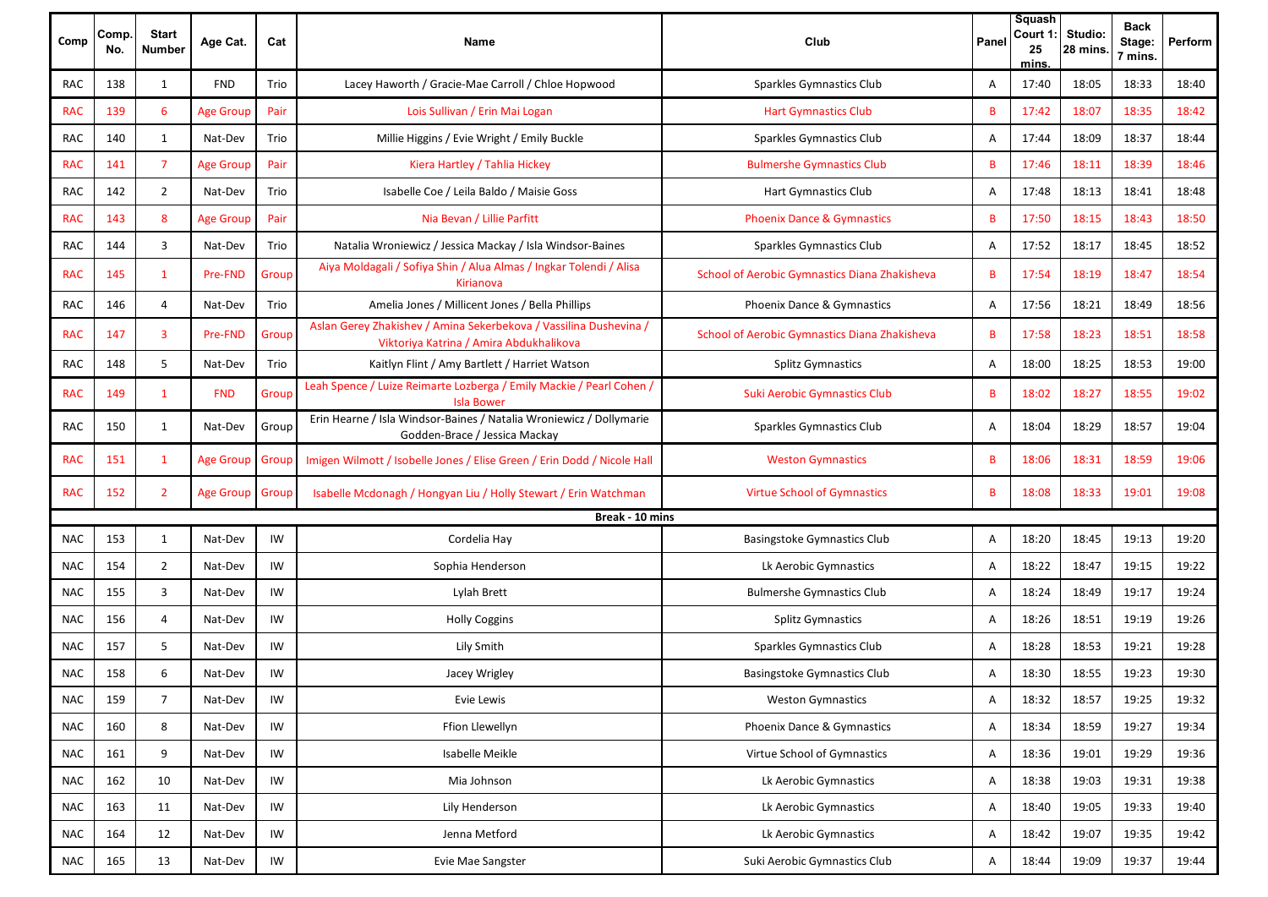| Comp       | Comp.<br>No. | <b>Start</b><br><b>Number</b> | Age Cat.         | Cat   | Name                                                                                                         | Club                                          | Panel | Squash<br>Court 1:<br>25<br>mins. | Studio:<br>28 mins. | <b>Back</b><br>Stage:<br>7 mins. | Perform |
|------------|--------------|-------------------------------|------------------|-------|--------------------------------------------------------------------------------------------------------------|-----------------------------------------------|-------|-----------------------------------|---------------------|----------------------------------|---------|
| RAC        | 138          | 1                             | <b>FND</b>       | Trio  | Lacey Haworth / Gracie-Mae Carroll / Chloe Hopwood                                                           | Sparkles Gymnastics Club                      | Α     | 17:40                             | 18:05               | 18:33                            | 18:40   |
| <b>RAC</b> | 139          | 6                             | <b>Age Group</b> | Pair  | Lois Sullivan / Erin Mai Logan                                                                               | <b>Hart Gymnastics Club</b>                   | B     | 17:42                             | 18:07               | 18:35                            | 18:42   |
| RAC        | 140          | 1                             | Nat-Dev          | Trio  | Millie Higgins / Evie Wright / Emily Buckle                                                                  | Sparkles Gymnastics Club                      | Α     | 17:44                             | 18:09               | 18:37                            | 18:44   |
| <b>RAC</b> | 141          | $\overline{7}$                | <b>Age Group</b> | Pair  | Kiera Hartley / Tahlia Hickey                                                                                | <b>Bulmershe Gymnastics Club</b>              | B     | 17:46                             | 18:11               | 18:39                            | 18:46   |
| <b>RAC</b> | 142          | $\overline{2}$                | Nat-Dev          | Trio  | Isabelle Coe / Leila Baldo / Maisie Goss                                                                     | <b>Hart Gymnastics Club</b>                   | Α     | 17:48                             | 18:13               | 18:41                            | 18:48   |
| <b>RAC</b> | 143          | 8                             | <b>Age Group</b> | Pair  | Nia Bevan / Lillie Parfitt                                                                                   | <b>Phoenix Dance &amp; Gymnastics</b>         | B     | 17:50                             | 18:15               | 18:43                            | 18:50   |
| <b>RAC</b> | 144          | 3                             | Nat-Dev          | Trio  | Natalia Wroniewicz / Jessica Mackay / Isla Windsor-Baines                                                    | Sparkles Gymnastics Club                      | Α     | 17:52                             | 18:17               | 18:45                            | 18:52   |
| <b>RAC</b> | 145          | 1                             | Pre-FND          | Group | Aiya Moldagali / Sofiya Shin / Alua Almas / Ingkar Tolendi / Alisa<br>Kirianova                              | School of Aerobic Gymnastics Diana Zhakisheva | B     | 17:54                             | 18:19               | 18:47                            | 18:54   |
| <b>RAC</b> | 146          | 4                             | Nat-Dev          | Trio  | Amelia Jones / Millicent Jones / Bella Phillips                                                              | Phoenix Dance & Gymnastics                    | Α     | 17:56                             | 18:21               | 18:49                            | 18:56   |
| <b>RAC</b> | 147          | 3                             | Pre-FND          | Group | Aslan Gerey Zhakishev / Amina Sekerbekova / Vassilina Dushevina /<br>Viktoriya Katrina / Amira Abdukhalikova | School of Aerobic Gymnastics Diana Zhakisheva | B     | 17:58                             | 18:23               | 18:51                            | 18:58   |
| RAC        | 148          | 5                             | Nat-Dev          | Trio  | Kaitlyn Flint / Amy Bartlett / Harriet Watson                                                                | <b>Splitz Gymnastics</b>                      | Α     | 18:00                             | 18:25               | 18:53                            | 19:00   |
| <b>RAC</b> | 149          | 1                             | <b>FND</b>       | Group | Leah Spence / Luize Reimarte Lozberga / Emily Mackie / Pearl Cohen /<br><b>Isla Bower</b>                    | <b>Suki Aerobic Gymnastics Club</b>           | B     | 18:02                             | 18:27               | 18:55                            | 19:02   |
| <b>RAC</b> | 150          | $\mathbf{1}$                  | Nat-Dev          | Group | Erin Hearne / Isla Windsor-Baines / Natalia Wroniewicz / Dollymarie<br>Godden-Brace / Jessica Mackay         | Sparkles Gymnastics Club                      | Α     | 18:04                             | 18:29               | 18:57                            | 19:04   |
| <b>RAC</b> | 151          | 1                             | <b>Age Group</b> | Group | Imigen Wilmott / Isobelle Jones / Elise Green / Erin Dodd / Nicole Hall                                      | <b>Weston Gymnastics</b>                      | B     | 18:06                             | 18:31               | 18:59                            | 19:06   |
| <b>RAC</b> | 152          | $\overline{2}$                | Age Group        | Group | Isabelle Mcdonagh / Hongyan Liu / Holly Stewart / Erin Watchman                                              | <b>Virtue School of Gymnastics</b>            | B     | 18:08                             | 18:33               | 19:01                            | 19:08   |
|            |              |                               |                  |       | Break - 10 mins                                                                                              |                                               |       |                                   |                     |                                  |         |
| <b>NAC</b> | 153          | 1                             | Nat-Dev          | IW    | Cordelia Hay                                                                                                 | Basingstoke Gymnastics Club                   | Α     | 18:20                             | 18:45               | 19:13                            | 19:20   |
| <b>NAC</b> | 154          | $\overline{2}$                | Nat-Dev          | IW    | Sophia Henderson                                                                                             | Lk Aerobic Gymnastics                         | Α     | 18:22                             | 18:47               | 19:15                            | 19:22   |
| <b>NAC</b> | 155          | 3                             | Nat-Dev          | IW    | Lylah Brett                                                                                                  | <b>Bulmershe Gymnastics Club</b>              | Α     | 18:24                             | 18:49               | 19:17                            | 19:24   |
| <b>NAC</b> | 156          | 4                             | Nat-Dev          | IW    | <b>Holly Coggins</b>                                                                                         | <b>Splitz Gymnastics</b>                      | Α     | 18:26                             | 18:51               | 19:19                            | 19:26   |
| <b>NAC</b> | 157          | 5                             | Nat-Dev          | IW    | Lily Smith                                                                                                   | Sparkles Gymnastics Club                      | Α     | 18:28                             | 18:53               | 19:21                            | 19:28   |
| <b>NAC</b> | 158          | 6                             | Nat-Dev          | IW    | Jacey Wrigley                                                                                                | <b>Basingstoke Gymnastics Club</b>            | Α     | 18:30                             | 18:55               | 19:23                            | 19:30   |
| <b>NAC</b> | 159          | $\overline{7}$                | Nat-Dev          | IW    | Evie Lewis                                                                                                   | <b>Weston Gymnastics</b>                      | Α     | 18:32                             | 18:57               | 19:25                            | 19:32   |
| <b>NAC</b> | 160          | 8                             | Nat-Dev          | IW    | Ffion Llewellyn                                                                                              | Phoenix Dance & Gymnastics                    | Α     | 18:34                             | 18:59               | 19:27                            | 19:34   |
| <b>NAC</b> | 161          | 9                             | Nat-Dev          | IW    | Isabelle Meikle                                                                                              | Virtue School of Gymnastics                   | Α     | 18:36                             | 19:01               | 19:29                            | 19:36   |
| <b>NAC</b> | 162          | 10                            | Nat-Dev          | IW    | Mia Johnson                                                                                                  | Lk Aerobic Gymnastics                         | Α     | 18:38                             | 19:03               | 19:31                            | 19:38   |
| <b>NAC</b> | 163          | 11                            | Nat-Dev          | IW    | Lily Henderson                                                                                               | Lk Aerobic Gymnastics                         | Α     | 18:40                             | 19:05               | 19:33                            | 19:40   |
| <b>NAC</b> | 164          | 12                            | Nat-Dev          | IW    | Jenna Metford                                                                                                | Lk Aerobic Gymnastics                         | Α     | 18:42                             | 19:07               | 19:35                            | 19:42   |
| <b>NAC</b> | 165          | 13                            | Nat-Dev          | IW    | Evie Mae Sangster                                                                                            | Suki Aerobic Gymnastics Club                  | Α     | 18:44                             | 19:09               | 19:37                            | 19:44   |